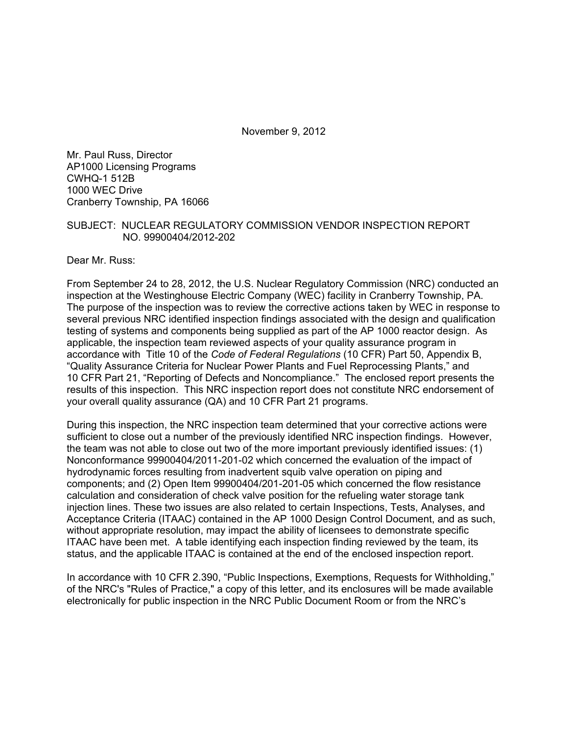November 9, 2012

Mr. Paul Russ, Director AP1000 Licensing Programs CWHQ-1 512B 1000 WEC Drive Cranberry Township, PA 16066

#### SUBJECT: NUCLEAR REGULATORY COMMISSION VENDOR INSPECTION REPORT NO. 99900404/2012-202

Dear Mr. Russ:

From September 24 to 28, 2012, the U.S. Nuclear Regulatory Commission (NRC) conducted an inspection at the Westinghouse Electric Company (WEC) facility in Cranberry Township, PA. The purpose of the inspection was to review the corrective actions taken by WEC in response to several previous NRC identified inspection findings associated with the design and qualification testing of systems and components being supplied as part of the AP 1000 reactor design. As applicable, the inspection team reviewed aspects of your quality assurance program in accordance with Title 10 of the *Code of Federal Regulations* (10 CFR) Part 50, Appendix B, "Quality Assurance Criteria for Nuclear Power Plants and Fuel Reprocessing Plants," and 10 CFR Part 21, "Reporting of Defects and Noncompliance." The enclosed report presents the results of this inspection. This NRC inspection report does not constitute NRC endorsement of your overall quality assurance (QA) and 10 CFR Part 21 programs.

During this inspection, the NRC inspection team determined that your corrective actions were sufficient to close out a number of the previously identified NRC inspection findings. However, the team was not able to close out two of the more important previously identified issues: (1) Nonconformance 99900404/2011-201-02 which concerned the evaluation of the impact of hydrodynamic forces resulting from inadvertent squib valve operation on piping and components; and (2) Open Item 99900404/201-201-05 which concerned the flow resistance calculation and consideration of check valve position for the refueling water storage tank injection lines. These two issues are also related to certain Inspections, Tests, Analyses, and Acceptance Criteria (ITAAC) contained in the AP 1000 Design Control Document, and as such, without appropriate resolution, may impact the ability of licensees to demonstrate specific ITAAC have been met. A table identifying each inspection finding reviewed by the team, its status, and the applicable ITAAC is contained at the end of the enclosed inspection report.

In accordance with 10 CFR 2.390, "Public Inspections, Exemptions, Requests for Withholding," of the NRC's "Rules of Practice," a copy of this letter, and its enclosures will be made available electronically for public inspection in the NRC Public Document Room or from the NRC's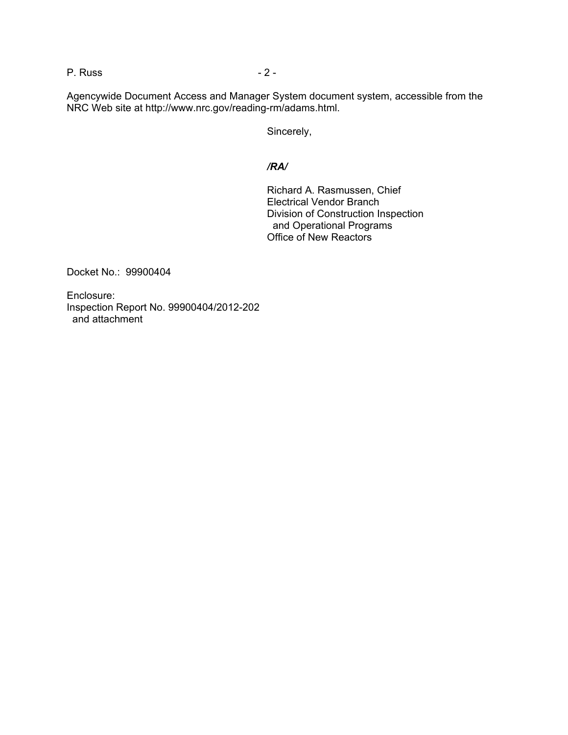P. Russ - 2 -

Agencywide Document Access and Manager System document system, accessible from the NRC Web site at http://www.nrc.gov/reading-rm/adams.html.

Sincerely,

#### */RA/*

Richard A. Rasmussen, Chief Electrical Vendor Branch Division of Construction Inspection and Operational Programs Office of New Reactors

Docket No.: 99900404

Enclosure: Inspection Report No. 99900404/2012-202 and attachment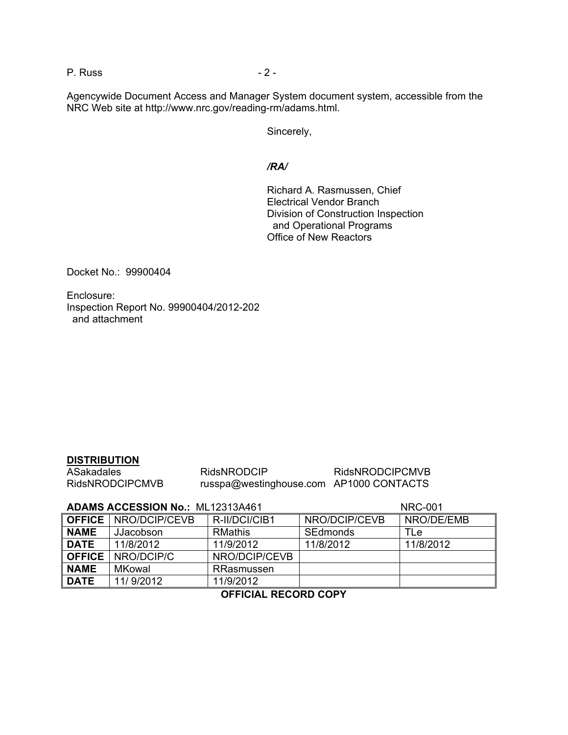P. Russ - 2 -

Agencywide Document Access and Manager System document system, accessible from the NRC Web site at http://www.nrc.gov/reading-rm/adams.html.

Sincerely,

#### */RA/*

Richard A. Rasmussen, Chief Electrical Vendor Branch Division of Construction Inspection and Operational Programs Office of New Reactors

Docket No.: 99900404

Enclosure: Inspection Report No. 99900404/2012-202 and attachment

#### **DISTRIBUTION**

| ASakadales             | <b>RidsNRODCIP</b>                      | <b>RidsNRODCIPCMVB</b> |
|------------------------|-----------------------------------------|------------------------|
| <b>RidsNRODCIPCMVB</b> | russpa@westinghouse.com AP1000 CONTACTS |                        |

#### **ADAMS ACCESSION No.:** ML12313A461 NRC-001

|               | <b>OFFICE   NRO/DCIP/CEVB</b> | R-II/DCI/CIB1  | NRO/DCIP/CEVB | NRO/DE/EMB |
|---------------|-------------------------------|----------------|---------------|------------|
| <b>NAME</b>   | JJacobson                     | <b>RMathis</b> | SEdmonds      | TLe        |
| <b>DATE</b>   | 11/8/2012                     | 11/9/2012      | 11/8/2012     | 11/8/2012  |
| <b>OFFICE</b> | NRO/DCIP/C                    | NRO/DCIP/CEVB  |               |            |
| <b>NAME</b>   | MKowal                        | RRasmussen     |               |            |
| <b>DATE</b>   | 11/9/2012                     | 11/9/2012      |               |            |

# **OFFICIAL RECORD COPY**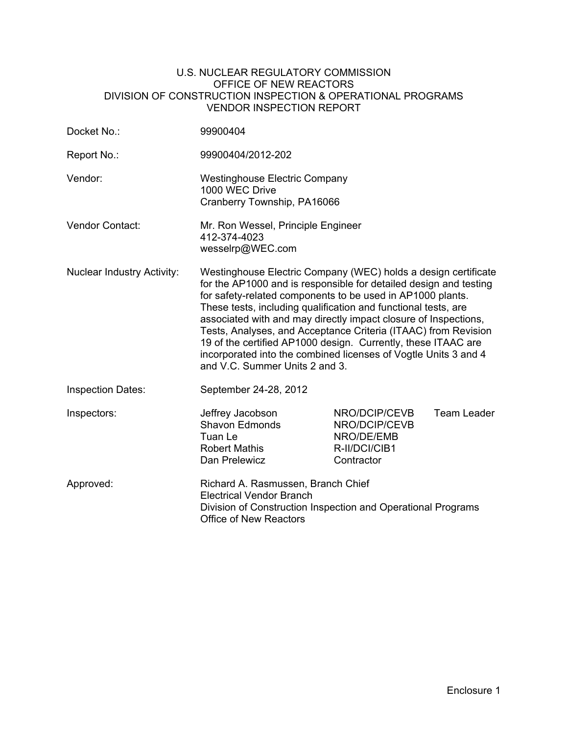#### U.S. NUCLEAR REGULATORY COMMISSION OFFICE OF NEW REACTORS DIVISION OF CONSTRUCTION INSPECTION & OPERATIONAL PROGRAMS VENDOR INSPECTION REPORT

| Docket No.:                       | 99900404                                                                                                                                                                                                                                                                                                                                                                                                                                                                                                                                                                       |                                                                             |             |
|-----------------------------------|--------------------------------------------------------------------------------------------------------------------------------------------------------------------------------------------------------------------------------------------------------------------------------------------------------------------------------------------------------------------------------------------------------------------------------------------------------------------------------------------------------------------------------------------------------------------------------|-----------------------------------------------------------------------------|-------------|
| Report No.:                       | 99900404/2012-202                                                                                                                                                                                                                                                                                                                                                                                                                                                                                                                                                              |                                                                             |             |
| Vendor:                           | <b>Westinghouse Electric Company</b><br>1000 WEC Drive<br>Cranberry Township, PA16066                                                                                                                                                                                                                                                                                                                                                                                                                                                                                          |                                                                             |             |
| Vendor Contact:                   | Mr. Ron Wessel, Principle Engineer<br>412-374-4023<br>wesselrp@WEC.com                                                                                                                                                                                                                                                                                                                                                                                                                                                                                                         |                                                                             |             |
| <b>Nuclear Industry Activity:</b> | Westinghouse Electric Company (WEC) holds a design certificate<br>for the AP1000 and is responsible for detailed design and testing<br>for safety-related components to be used in AP1000 plants.<br>These tests, including qualification and functional tests, are<br>associated with and may directly impact closure of Inspections,<br>Tests, Analyses, and Acceptance Criteria (ITAAC) from Revision<br>19 of the certified AP1000 design. Currently, these ITAAC are<br>incorporated into the combined licenses of Vogtle Units 3 and 4<br>and V.C. Summer Units 2 and 3. |                                                                             |             |
| <b>Inspection Dates:</b>          | September 24-28, 2012                                                                                                                                                                                                                                                                                                                                                                                                                                                                                                                                                          |                                                                             |             |
| Inspectors:                       | Jeffrey Jacobson<br><b>Shavon Edmonds</b><br>Tuan Le<br><b>Robert Mathis</b><br>Dan Prelewicz                                                                                                                                                                                                                                                                                                                                                                                                                                                                                  | NRO/DCIP/CEVB<br>NRO/DCIP/CEVB<br>NRO/DE/EMB<br>R-II/DCI/CIB1<br>Contractor | Team Leader |
| Approved:                         | Richard A. Rasmussen, Branch Chief<br><b>Electrical Vendor Branch</b><br>Division of Construction Inspection and Operational Programs<br><b>Office of New Reactors</b>                                                                                                                                                                                                                                                                                                                                                                                                         |                                                                             |             |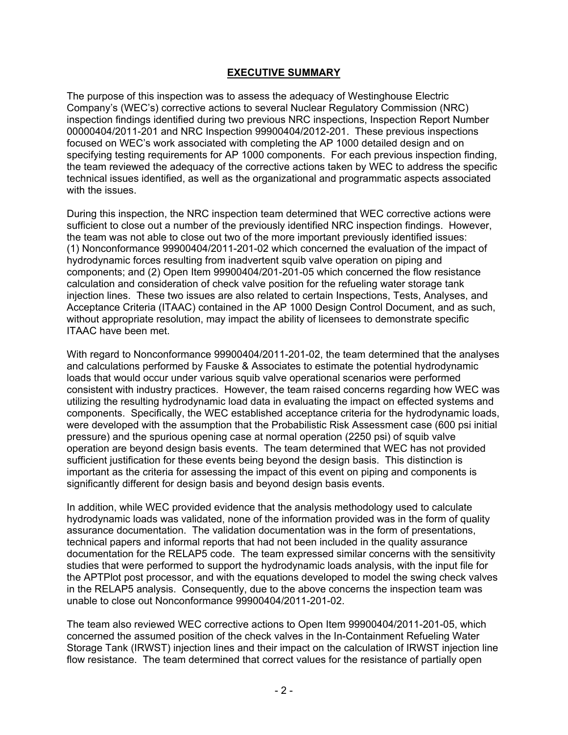### **EXECUTIVE SUMMARY**

The purpose of this inspection was to assess the adequacy of Westinghouse Electric Company's (WEC's) corrective actions to several Nuclear Regulatory Commission (NRC) inspection findings identified during two previous NRC inspections, Inspection Report Number 00000404/2011-201 and NRC Inspection 99900404/2012-201. These previous inspections focused on WEC's work associated with completing the AP 1000 detailed design and on specifying testing requirements for AP 1000 components. For each previous inspection finding, the team reviewed the adequacy of the corrective actions taken by WEC to address the specific technical issues identified, as well as the organizational and programmatic aspects associated with the issues.

During this inspection, the NRC inspection team determined that WEC corrective actions were sufficient to close out a number of the previously identified NRC inspection findings. However, the team was not able to close out two of the more important previously identified issues: (1) Nonconformance 99900404/2011-201-02 which concerned the evaluation of the impact of hydrodynamic forces resulting from inadvertent squib valve operation on piping and components; and (2) Open Item 99900404/201-201-05 which concerned the flow resistance calculation and consideration of check valve position for the refueling water storage tank injection lines. These two issues are also related to certain Inspections, Tests, Analyses, and Acceptance Criteria (ITAAC) contained in the AP 1000 Design Control Document, and as such, without appropriate resolution, may impact the ability of licensees to demonstrate specific ITAAC have been met.

With regard to Nonconformance 99900404/2011-201-02, the team determined that the analyses and calculations performed by Fauske & Associates to estimate the potential hydrodynamic loads that would occur under various squib valve operational scenarios were performed consistent with industry practices. However, the team raised concerns regarding how WEC was utilizing the resulting hydrodynamic load data in evaluating the impact on effected systems and components. Specifically, the WEC established acceptance criteria for the hydrodynamic loads, were developed with the assumption that the Probabilistic Risk Assessment case (600 psi initial pressure) and the spurious opening case at normal operation (2250 psi) of squib valve operation are beyond design basis events. The team determined that WEC has not provided sufficient justification for these events being beyond the design basis. This distinction is important as the criteria for assessing the impact of this event on piping and components is significantly different for design basis and beyond design basis events.

In addition, while WEC provided evidence that the analysis methodology used to calculate hydrodynamic loads was validated, none of the information provided was in the form of quality assurance documentation. The validation documentation was in the form of presentations, technical papers and informal reports that had not been included in the quality assurance documentation for the RELAP5 code. The team expressed similar concerns with the sensitivity studies that were performed to support the hydrodynamic loads analysis, with the input file for the APTPlot post processor, and with the equations developed to model the swing check valves in the RELAP5 analysis. Consequently, due to the above concerns the inspection team was unable to close out Nonconformance 99900404/2011-201-02.

The team also reviewed WEC corrective actions to Open Item 99900404/2011-201-05, which concerned the assumed position of the check valves in the In-Containment Refueling Water Storage Tank (IRWST) injection lines and their impact on the calculation of IRWST injection line flow resistance. The team determined that correct values for the resistance of partially open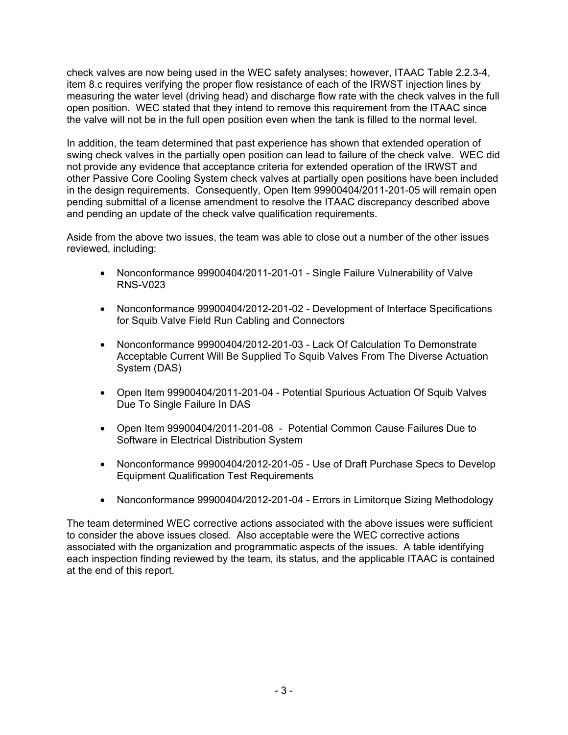check valves are now being used in the WEC safety analyses; however, ITAAC Table 2.2.3-4, item 8.c requires verifying the proper flow resistance of each of the IRWST injection lines by measuring the water level (driving head) and discharge flow rate with the check valves in the full open position. WEC stated that they intend to remove this requirement from the ITAAC since the valve will not be in the full open position even when the tank is filled to the normal level.

In addition, the team determined that past experience has shown that extended operation of swing check valves in the partially open position can lead to failure of the check valve. WEC did not provide any evidence that acceptance criteria for extended operation of the IRWST and other Passive Core Cooling System check valves at partially open positions have been included in the design requirements. Consequently, Open Item 99900404/2011-201-05 will remain open pending submittal of a license amendment to resolve the ITAAC discrepancy described above and pending an update of the check valve qualification requirements.

Aside from the above two issues, the team was able to close out a number of the other issues reviewed, including:

- Nonconformance 99900404/2011-201-01 Single Failure Vulnerability of Valve RNS-V023
- Nonconformance 99900404/2012-201-02 Development of Interface Specifications for Squib Valve Field Run Cabling and Connectors
- Nonconformance 99900404/2012-201-03 Lack Of Calculation To Demonstrate Acceptable Current Will Be Supplied To Squib Valves From The Diverse Actuation System (DAS)
- Open Item 99900404/2011-201-04 Potential Spurious Actuation Of Squib Valves Due To Single Failure In DAS
- Open Item 99900404/2011-201-08 Potential Common Cause Failures Due to Software in Electrical Distribution System
- Nonconformance 99900404/2012-201-05 Use of Draft Purchase Specs to Develop Equipment Qualification Test Requirements
- Nonconformance 99900404/2012-201-04 Errors in Limitorque Sizing Methodology

The team determined WEC corrective actions associated with the above issues were sufficient to consider the above issues closed. Also acceptable were the WEC corrective actions associated with the organization and programmatic aspects of the issues. A table identifying each inspection finding reviewed by the team, its status, and the applicable ITAAC is contained at the end of this report.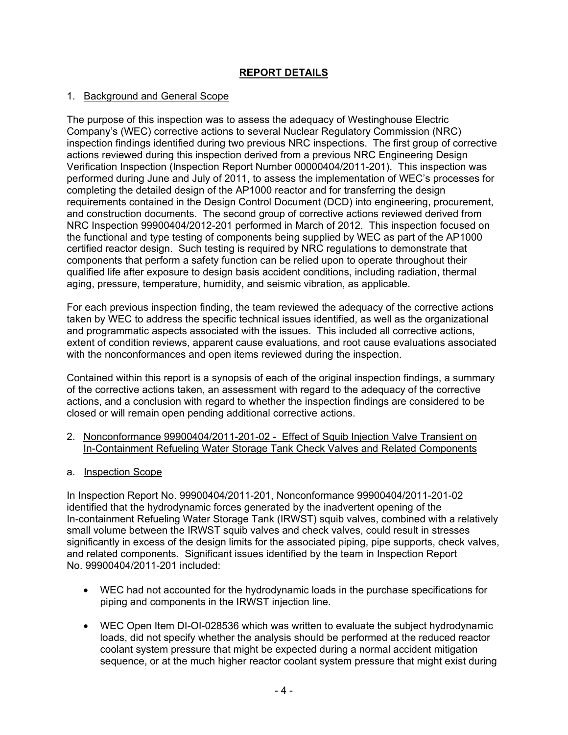# **REPORT DETAILS**

### 1. Background and General Scope

The purpose of this inspection was to assess the adequacy of Westinghouse Electric Company's (WEC) corrective actions to several Nuclear Regulatory Commission (NRC) inspection findings identified during two previous NRC inspections. The first group of corrective actions reviewed during this inspection derived from a previous NRC Engineering Design Verification Inspection (Inspection Report Number 00000404/2011-201). This inspection was performed during June and July of 2011, to assess the implementation of WEC's processes for completing the detailed design of the AP1000 reactor and for transferring the design requirements contained in the Design Control Document (DCD) into engineering, procurement, and construction documents. The second group of corrective actions reviewed derived from NRC Inspection 99900404/2012-201 performed in March of 2012. This inspection focused on the functional and type testing of components being supplied by WEC as part of the AP1000 certified reactor design. Such testing is required by NRC regulations to demonstrate that components that perform a safety function can be relied upon to operate throughout their qualified life after exposure to design basis accident conditions, including radiation, thermal aging, pressure, temperature, humidity, and seismic vibration, as applicable.

For each previous inspection finding, the team reviewed the adequacy of the corrective actions taken by WEC to address the specific technical issues identified, as well as the organizational and programmatic aspects associated with the issues. This included all corrective actions, extent of condition reviews, apparent cause evaluations, and root cause evaluations associated with the nonconformances and open items reviewed during the inspection.

Contained within this report is a synopsis of each of the original inspection findings, a summary of the corrective actions taken, an assessment with regard to the adequacy of the corrective actions, and a conclusion with regard to whether the inspection findings are considered to be closed or will remain open pending additional corrective actions.

- 2. Nonconformance 99900404/2011-201-02 Effect of Squib Injection Valve Transient on In-Containment Refueling Water Storage Tank Check Valves and Related Components
- a. Inspection Scope

In Inspection Report No. 99900404/2011-201, Nonconformance 99900404/2011-201-02 identified that the hydrodynamic forces generated by the inadvertent opening of the In-containment Refueling Water Storage Tank (IRWST) squib valves, combined with a relatively small volume between the IRWST squib valves and check valves, could result in stresses significantly in excess of the design limits for the associated piping, pipe supports, check valves, and related components. Significant issues identified by the team in Inspection Report No. 99900404/2011-201 included:

- WEC had not accounted for the hydrodynamic loads in the purchase specifications for piping and components in the IRWST injection line.
- WEC Open Item DI-OI-028536 which was written to evaluate the subject hydrodynamic loads, did not specify whether the analysis should be performed at the reduced reactor coolant system pressure that might be expected during a normal accident mitigation sequence, or at the much higher reactor coolant system pressure that might exist during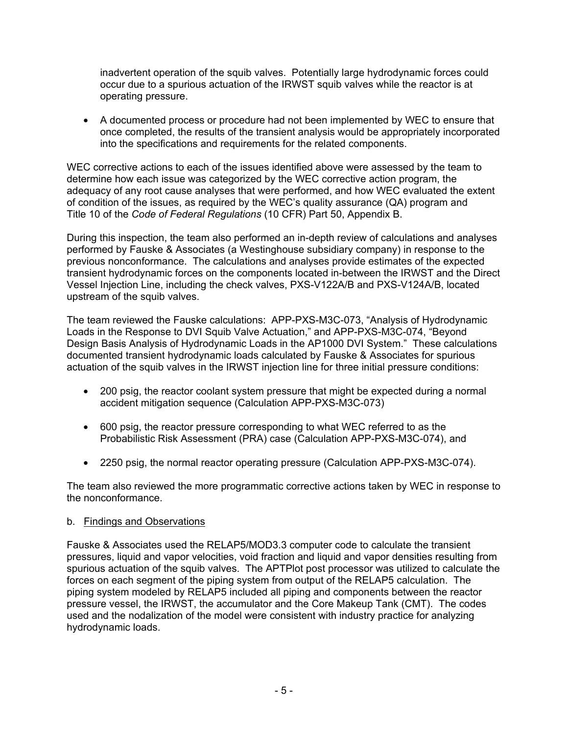inadvertent operation of the squib valves. Potentially large hydrodynamic forces could occur due to a spurious actuation of the IRWST squib valves while the reactor is at operating pressure.

• A documented process or procedure had not been implemented by WEC to ensure that once completed, the results of the transient analysis would be appropriately incorporated into the specifications and requirements for the related components.

WEC corrective actions to each of the issues identified above were assessed by the team to determine how each issue was categorized by the WEC corrective action program, the adequacy of any root cause analyses that were performed, and how WEC evaluated the extent of condition of the issues, as required by the WEC's quality assurance (QA) program and Title 10 of the *Code of Federal Regulations* (10 CFR) Part 50, Appendix B.

During this inspection, the team also performed an in-depth review of calculations and analyses performed by Fauske & Associates (a Westinghouse subsidiary company) in response to the previous nonconformance. The calculations and analyses provide estimates of the expected transient hydrodynamic forces on the components located in-between the IRWST and the Direct Vessel Injection Line, including the check valves, PXS-V122A/B and PXS-V124A/B, located upstream of the squib valves.

The team reviewed the Fauske calculations: APP-PXS-M3C-073, "Analysis of Hydrodynamic Loads in the Response to DVI Squib Valve Actuation," and APP-PXS-M3C-074, "Beyond Design Basis Analysis of Hydrodynamic Loads in the AP1000 DVI System." These calculations documented transient hydrodynamic loads calculated by Fauske & Associates for spurious actuation of the squib valves in the IRWST injection line for three initial pressure conditions:

- 200 psig, the reactor coolant system pressure that might be expected during a normal accident mitigation sequence (Calculation APP-PXS-M3C-073)
- 600 psig, the reactor pressure corresponding to what WEC referred to as the Probabilistic Risk Assessment (PRA) case (Calculation APP-PXS-M3C-074), and
- 2250 psig, the normal reactor operating pressure (Calculation APP-PXS-M3C-074).

The team also reviewed the more programmatic corrective actions taken by WEC in response to the nonconformance.

#### b. Findings and Observations

Fauske & Associates used the RELAP5/MOD3.3 computer code to calculate the transient pressures, liquid and vapor velocities, void fraction and liquid and vapor densities resulting from spurious actuation of the squib valves. The APTPlot post processor was utilized to calculate the forces on each segment of the piping system from output of the RELAP5 calculation. The piping system modeled by RELAP5 included all piping and components between the reactor pressure vessel, the IRWST, the accumulator and the Core Makeup Tank (CMT). The codes used and the nodalization of the model were consistent with industry practice for analyzing hydrodynamic loads.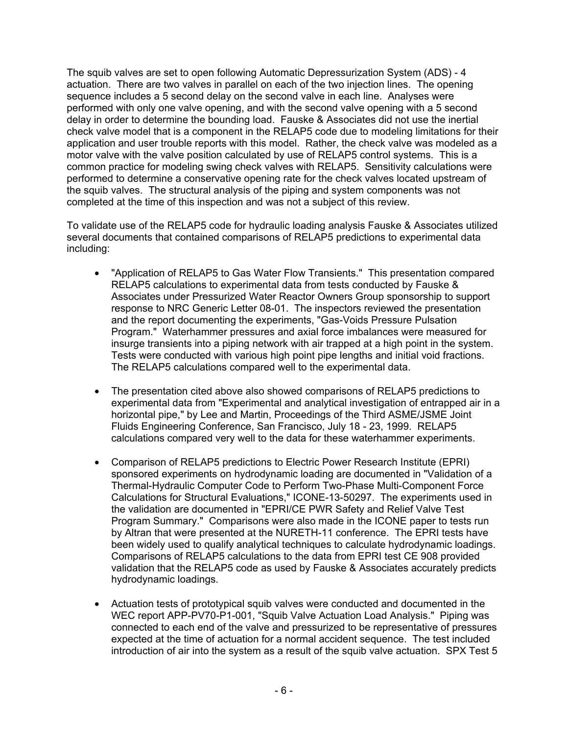The squib valves are set to open following Automatic Depressurization System (ADS) - 4 actuation. There are two valves in parallel on each of the two injection lines. The opening sequence includes a 5 second delay on the second valve in each line. Analyses were performed with only one valve opening, and with the second valve opening with a 5 second delay in order to determine the bounding load. Fauske & Associates did not use the inertial check valve model that is a component in the RELAP5 code due to modeling limitations for their application and user trouble reports with this model. Rather, the check valve was modeled as a motor valve with the valve position calculated by use of RELAP5 control systems. This is a common practice for modeling swing check valves with RELAP5. Sensitivity calculations were performed to determine a conservative opening rate for the check valves located upstream of the squib valves. The structural analysis of the piping and system components was not completed at the time of this inspection and was not a subject of this review.

To validate use of the RELAP5 code for hydraulic loading analysis Fauske & Associates utilized several documents that contained comparisons of RELAP5 predictions to experimental data including:

- "Application of RELAP5 to Gas Water Flow Transients." This presentation compared RELAP5 calculations to experimental data from tests conducted by Fauske & Associates under Pressurized Water Reactor Owners Group sponsorship to support response to NRC Generic Letter 08-01. The inspectors reviewed the presentation and the report documenting the experiments, "Gas-Voids Pressure Pulsation Program." Waterhammer pressures and axial force imbalances were measured for insurge transients into a piping network with air trapped at a high point in the system. Tests were conducted with various high point pipe lengths and initial void fractions. The RELAP5 calculations compared well to the experimental data.
- The presentation cited above also showed comparisons of RELAP5 predictions to experimental data from "Experimental and analytical investigation of entrapped air in a horizontal pipe," by Lee and Martin, Proceedings of the Third ASME/JSME Joint Fluids Engineering Conference, San Francisco, July 18 - 23, 1999. RELAP5 calculations compared very well to the data for these waterhammer experiments.
- Comparison of RELAP5 predictions to Electric Power Research Institute (EPRI) sponsored experiments on hydrodynamic loading are documented in "Validation of a Thermal-Hydraulic Computer Code to Perform Two-Phase Multi-Component Force Calculations for Structural Evaluations," ICONE-13-50297. The experiments used in the validation are documented in "EPRI/CE PWR Safety and Relief Valve Test Program Summary." Comparisons were also made in the ICONE paper to tests run by Altran that were presented at the NURETH-11 conference. The EPRI tests have been widely used to qualify analytical techniques to calculate hydrodynamic loadings. Comparisons of RELAP5 calculations to the data from EPRI test CE 908 provided validation that the RELAP5 code as used by Fauske & Associates accurately predicts hydrodynamic loadings.
- Actuation tests of prototypical squib valves were conducted and documented in the WEC report APP-PV70-P1-001, "Squib Valve Actuation Load Analysis." Piping was connected to each end of the valve and pressurized to be representative of pressures expected at the time of actuation for a normal accident sequence. The test included introduction of air into the system as a result of the squib valve actuation. SPX Test 5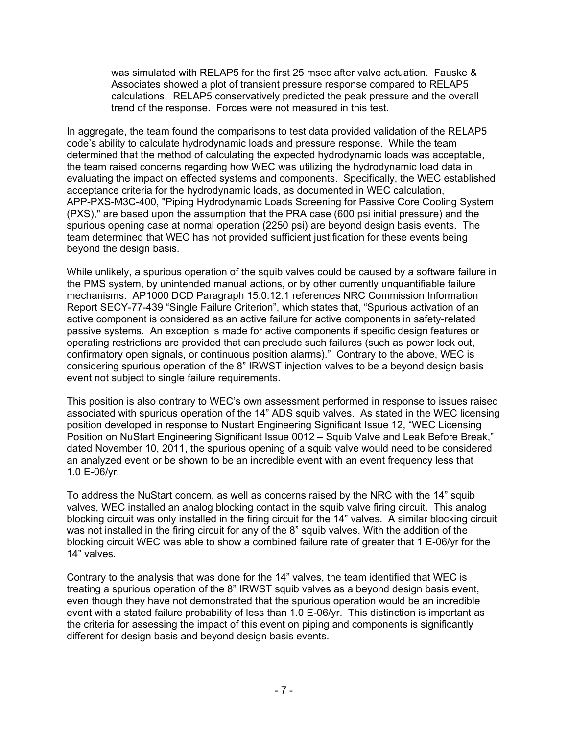was simulated with RELAP5 for the first 25 msec after valve actuation. Fauske & Associates showed a plot of transient pressure response compared to RELAP5 calculations. RELAP5 conservatively predicted the peak pressure and the overall trend of the response. Forces were not measured in this test.

In aggregate, the team found the comparisons to test data provided validation of the RELAP5 code's ability to calculate hydrodynamic loads and pressure response. While the team determined that the method of calculating the expected hydrodynamic loads was acceptable, the team raised concerns regarding how WEC was utilizing the hydrodynamic load data in evaluating the impact on effected systems and components. Specifically, the WEC established acceptance criteria for the hydrodynamic loads, as documented in WEC calculation, APP-PXS-M3C-400, "Piping Hydrodynamic Loads Screening for Passive Core Cooling System (PXS)," are based upon the assumption that the PRA case (600 psi initial pressure) and the spurious opening case at normal operation (2250 psi) are beyond design basis events. The team determined that WEC has not provided sufficient justification for these events being beyond the design basis.

While unlikely, a spurious operation of the squib valves could be caused by a software failure in the PMS system, by unintended manual actions, or by other currently unquantifiable failure mechanisms. AP1000 DCD Paragraph 15.0.12.1 references NRC Commission Information Report SECY-77-439 "Single Failure Criterion", which states that, "Spurious activation of an active component is considered as an active failure for active components in safety-related passive systems. An exception is made for active components if specific design features or operating restrictions are provided that can preclude such failures (such as power lock out, confirmatory open signals, or continuous position alarms)." Contrary to the above, WEC is considering spurious operation of the 8" IRWST injection valves to be a beyond design basis event not subject to single failure requirements.

This position is also contrary to WEC's own assessment performed in response to issues raised associated with spurious operation of the 14" ADS squib valves. As stated in the WEC licensing position developed in response to Nustart Engineering Significant Issue 12, "WEC Licensing Position on NuStart Engineering Significant Issue 0012 – Squib Valve and Leak Before Break," dated November 10, 2011, the spurious opening of a squib valve would need to be considered an analyzed event or be shown to be an incredible event with an event frequency less that 1.0 E-06/yr.

To address the NuStart concern, as well as concerns raised by the NRC with the 14" squib valves, WEC installed an analog blocking contact in the squib valve firing circuit. This analog blocking circuit was only installed in the firing circuit for the 14" valves. A similar blocking circuit was not installed in the firing circuit for any of the 8" squib valves. With the addition of the blocking circuit WEC was able to show a combined failure rate of greater that 1 E-06/yr for the 14" valves.

Contrary to the analysis that was done for the 14" valves, the team identified that WEC is treating a spurious operation of the 8" IRWST squib valves as a beyond design basis event, even though they have not demonstrated that the spurious operation would be an incredible event with a stated failure probability of less than 1.0 E-06/yr. This distinction is important as the criteria for assessing the impact of this event on piping and components is significantly different for design basis and beyond design basis events.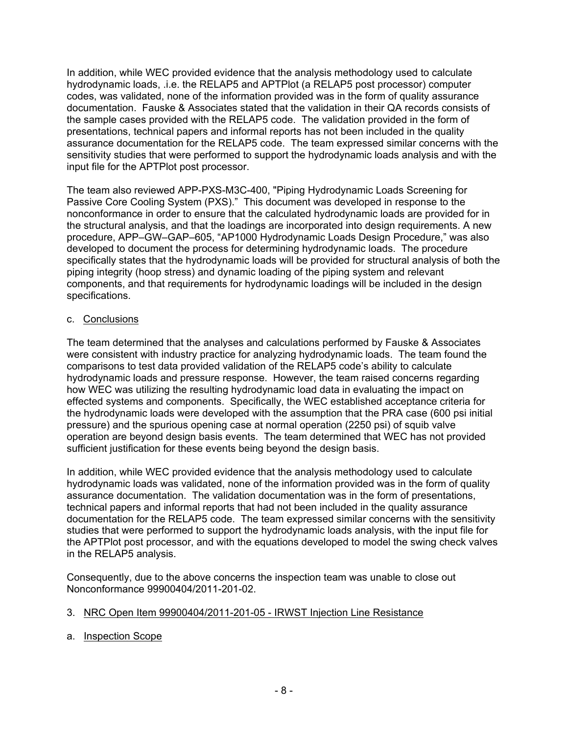In addition, while WEC provided evidence that the analysis methodology used to calculate hydrodynamic loads, .i.e. the RELAP5 and APTPlot (a RELAP5 post processor) computer codes, was validated, none of the information provided was in the form of quality assurance documentation. Fauske & Associates stated that the validation in their QA records consists of the sample cases provided with the RELAP5 code. The validation provided in the form of presentations, technical papers and informal reports has not been included in the quality assurance documentation for the RELAP5 code. The team expressed similar concerns with the sensitivity studies that were performed to support the hydrodynamic loads analysis and with the input file for the APTPlot post processor.

The team also reviewed APP-PXS-M3C-400, "Piping Hydrodynamic Loads Screening for Passive Core Cooling System (PXS)." This document was developed in response to the nonconformance in order to ensure that the calculated hydrodynamic loads are provided for in the structural analysis, and that the loadings are incorporated into design requirements. A new procedure, APP–GW–GAP–605, "AP1000 Hydrodynamic Loads Design Procedure," was also developed to document the process for determining hydrodynamic loads. The procedure specifically states that the hydrodynamic loads will be provided for structural analysis of both the piping integrity (hoop stress) and dynamic loading of the piping system and relevant components, and that requirements for hydrodynamic loadings will be included in the design specifications.

### c. Conclusions

The team determined that the analyses and calculations performed by Fauske & Associates were consistent with industry practice for analyzing hydrodynamic loads. The team found the comparisons to test data provided validation of the RELAP5 code's ability to calculate hydrodynamic loads and pressure response. However, the team raised concerns regarding how WEC was utilizing the resulting hydrodynamic load data in evaluating the impact on effected systems and components. Specifically, the WEC established acceptance criteria for the hydrodynamic loads were developed with the assumption that the PRA case (600 psi initial pressure) and the spurious opening case at normal operation (2250 psi) of squib valve operation are beyond design basis events. The team determined that WEC has not provided sufficient justification for these events being beyond the design basis.

In addition, while WEC provided evidence that the analysis methodology used to calculate hydrodynamic loads was validated, none of the information provided was in the form of quality assurance documentation. The validation documentation was in the form of presentations, technical papers and informal reports that had not been included in the quality assurance documentation for the RELAP5 code. The team expressed similar concerns with the sensitivity studies that were performed to support the hydrodynamic loads analysis, with the input file for the APTPlot post processor, and with the equations developed to model the swing check valves in the RELAP5 analysis.

Consequently, due to the above concerns the inspection team was unable to close out Nonconformance 99900404/2011-201-02.

#### 3. NRC Open Item 99900404/2011-201-05 - IRWST Injection Line Resistance

a. Inspection Scope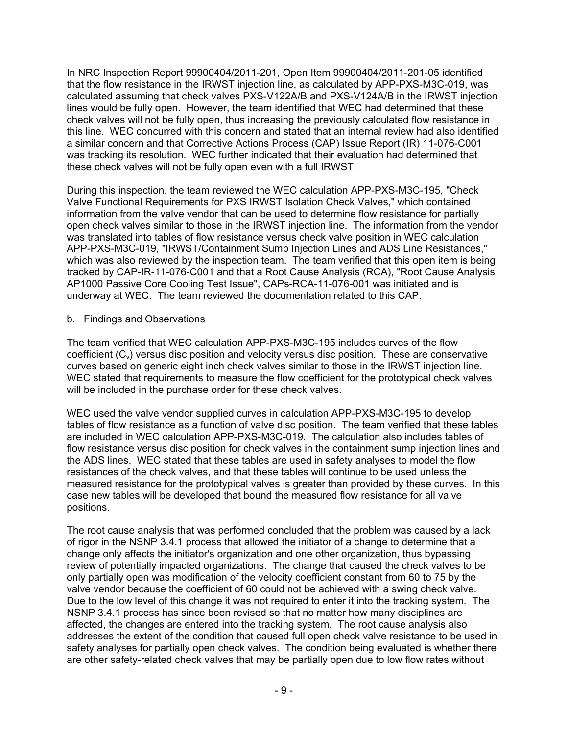In NRC Inspection Report 99900404/2011-201, Open Item 99900404/2011-201-05 identified that the flow resistance in the IRWST injection line, as calculated by APP-PXS-M3C-019, was calculated assuming that check valves PXS-V122A/B and PXS-V124A/B in the IRWST injection lines would be fully open. However, the team identified that WEC had determined that these check valves will not be fully open, thus increasing the previously calculated flow resistance in this line. WEC concurred with this concern and stated that an internal review had also identified a similar concern and that Corrective Actions Process (CAP) Issue Report (IR) 11-076-C001 was tracking its resolution. WEC further indicated that their evaluation had determined that these check valves will not be fully open even with a full IRWST.

During this inspection, the team reviewed the WEC calculation APP-PXS-M3C-195, "Check Valve Functional Requirements for PXS IRWST Isolation Check Valves," which contained information from the valve vendor that can be used to determine flow resistance for partially open check valves similar to those in the IRWST injection line. The information from the vendor was translated into tables of flow resistance versus check valve position in WEC calculation APP-PXS-M3C-019, "IRWST/Containment Sump Injection Lines and ADS Line Resistances," which was also reviewed by the inspection team. The team verified that this open item is being tracked by CAP-IR-11-076-C001 and that a Root Cause Analysis (RCA), "Root Cause Analysis AP1000 Passive Core Cooling Test Issue", CAPs-RCA-11-076-001 was initiated and is underway at WEC. The team reviewed the documentation related to this CAP.

### b. Findings and Observations

The team verified that WEC calculation APP-PXS-M3C-195 includes curves of the flow coefficient  $(C_v)$  versus disc position and velocity versus disc position. These are conservative curves based on generic eight inch check valves similar to those in the IRWST injection line. WEC stated that requirements to measure the flow coefficient for the prototypical check valves will be included in the purchase order for these check valves.

WEC used the valve vendor supplied curves in calculation APP-PXS-M3C-195 to develop tables of flow resistance as a function of valve disc position. The team verified that these tables are included in WEC calculation APP-PXS-M3C-019. The calculation also includes tables of flow resistance versus disc position for check valves in the containment sump injection lines and the ADS lines. WEC stated that these tables are used in safety analyses to model the flow resistances of the check valves, and that these tables will continue to be used unless the measured resistance for the prototypical valves is greater than provided by these curves. In this case new tables will be developed that bound the measured flow resistance for all valve positions.

The root cause analysis that was performed concluded that the problem was caused by a lack of rigor in the NSNP 3.4.1 process that allowed the initiator of a change to determine that a change only affects the initiator's organization and one other organization, thus bypassing review of potentially impacted organizations. The change that caused the check valves to be only partially open was modification of the velocity coefficient constant from 60 to 75 by the valve vendor because the coefficient of 60 could not be achieved with a swing check valve. Due to the low level of this change it was not required to enter it into the tracking system. The NSNP 3.4.1 process has since been revised so that no matter how many disciplines are affected, the changes are entered into the tracking system. The root cause analysis also addresses the extent of the condition that caused full open check valve resistance to be used in safety analyses for partially open check valves. The condition being evaluated is whether there are other safety-related check valves that may be partially open due to low flow rates without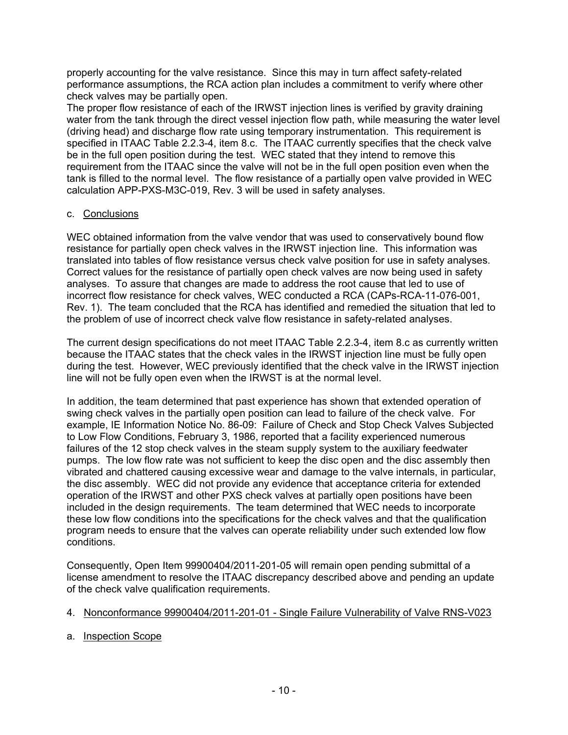properly accounting for the valve resistance. Since this may in turn affect safety-related performance assumptions, the RCA action plan includes a commitment to verify where other check valves may be partially open.

The proper flow resistance of each of the IRWST injection lines is verified by gravity draining water from the tank through the direct vessel injection flow path, while measuring the water level (driving head) and discharge flow rate using temporary instrumentation. This requirement is specified in ITAAC Table 2.2.3-4, item 8.c. The ITAAC currently specifies that the check valve be in the full open position during the test. WEC stated that they intend to remove this requirement from the ITAAC since the valve will not be in the full open position even when the tank is filled to the normal level. The flow resistance of a partially open valve provided in WEC calculation APP-PXS-M3C-019, Rev. 3 will be used in safety analyses.

# c. Conclusions

WEC obtained information from the valve vendor that was used to conservatively bound flow resistance for partially open check valves in the IRWST injection line. This information was translated into tables of flow resistance versus check valve position for use in safety analyses. Correct values for the resistance of partially open check valves are now being used in safety analyses. To assure that changes are made to address the root cause that led to use of incorrect flow resistance for check valves, WEC conducted a RCA (CAPs-RCA-11-076-001, Rev. 1). The team concluded that the RCA has identified and remedied the situation that led to the problem of use of incorrect check valve flow resistance in safety-related analyses.

The current design specifications do not meet ITAAC Table 2.2.3-4, item 8.c as currently written because the ITAAC states that the check vales in the IRWST injection line must be fully open during the test. However, WEC previously identified that the check valve in the IRWST injection line will not be fully open even when the IRWST is at the normal level.

In addition, the team determined that past experience has shown that extended operation of swing check valves in the partially open position can lead to failure of the check valve. For example, IE Information Notice No. 86-09: Failure of Check and Stop Check Valves Subjected to Low Flow Conditions, February 3, 1986, reported that a facility experienced numerous failures of the 12 stop check valves in the steam supply system to the auxiliary feedwater pumps. The low flow rate was not sufficient to keep the disc open and the disc assembly then vibrated and chattered causing excessive wear and damage to the valve internals, in particular, the disc assembly. WEC did not provide any evidence that acceptance criteria for extended operation of the IRWST and other PXS check valves at partially open positions have been included in the design requirements. The team determined that WEC needs to incorporate these low flow conditions into the specifications for the check valves and that the qualification program needs to ensure that the valves can operate reliability under such extended low flow conditions.

Consequently, Open Item 99900404/2011-201-05 will remain open pending submittal of a license amendment to resolve the ITAAC discrepancy described above and pending an update of the check valve qualification requirements.

# 4. Nonconformance 99900404/2011-201-01 - Single Failure Vulnerability of Valve RNS-V023

a. Inspection Scope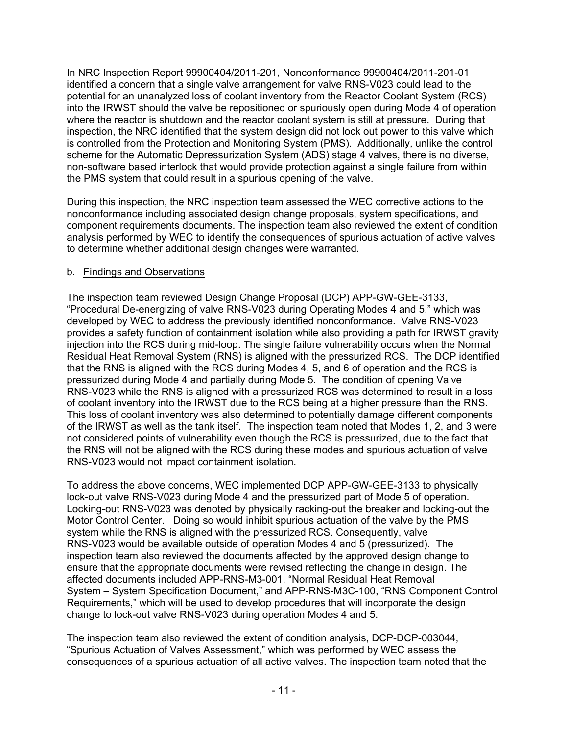In NRC Inspection Report 99900404/2011-201, Nonconformance 99900404/2011-201-01 identified a concern that a single valve arrangement for valve RNS-V023 could lead to the potential for an unanalyzed loss of coolant inventory from the Reactor Coolant System (RCS) into the IRWST should the valve be repositioned or spuriously open during Mode 4 of operation where the reactor is shutdown and the reactor coolant system is still at pressure. During that inspection, the NRC identified that the system design did not lock out power to this valve which is controlled from the Protection and Monitoring System (PMS). Additionally, unlike the control scheme for the Automatic Depressurization System (ADS) stage 4 valves, there is no diverse, non-software based interlock that would provide protection against a single failure from within the PMS system that could result in a spurious opening of the valve.

During this inspection, the NRC inspection team assessed the WEC corrective actions to the nonconformance including associated design change proposals, system specifications, and component requirements documents. The inspection team also reviewed the extent of condition analysis performed by WEC to identify the consequences of spurious actuation of active valves to determine whether additional design changes were warranted.

### b. Findings and Observations

The inspection team reviewed Design Change Proposal (DCP) APP-GW-GEE-3133, "Procedural De-energizing of valve RNS-V023 during Operating Modes 4 and 5," which was developed by WEC to address the previously identified nonconformance. Valve RNS-V023 provides a safety function of containment isolation while also providing a path for IRWST gravity injection into the RCS during mid-loop. The single failure vulnerability occurs when the Normal Residual Heat Removal System (RNS) is aligned with the pressurized RCS. The DCP identified that the RNS is aligned with the RCS during Modes 4, 5, and 6 of operation and the RCS is pressurized during Mode 4 and partially during Mode 5. The condition of opening Valve RNS-V023 while the RNS is aligned with a pressurized RCS was determined to result in a loss of coolant inventory into the IRWST due to the RCS being at a higher pressure than the RNS. This loss of coolant inventory was also determined to potentially damage different components of the IRWST as well as the tank itself. The inspection team noted that Modes 1, 2, and 3 were not considered points of vulnerability even though the RCS is pressurized, due to the fact that the RNS will not be aligned with the RCS during these modes and spurious actuation of valve RNS-V023 would not impact containment isolation.

To address the above concerns, WEC implemented DCP APP-GW-GEE-3133 to physically lock-out valve RNS-V023 during Mode 4 and the pressurized part of Mode 5 of operation. Locking-out RNS-V023 was denoted by physically racking-out the breaker and locking-out the Motor Control Center. Doing so would inhibit spurious actuation of the valve by the PMS system while the RNS is aligned with the pressurized RCS. Consequently, valve RNS-V023 would be available outside of operation Modes 4 and 5 (pressurized). The inspection team also reviewed the documents affected by the approved design change to ensure that the appropriate documents were revised reflecting the change in design. The affected documents included APP-RNS-M3-001, "Normal Residual Heat Removal System – System Specification Document," and APP-RNS-M3C-100, "RNS Component Control Requirements," which will be used to develop procedures that will incorporate the design change to lock-out valve RNS-V023 during operation Modes 4 and 5.

The inspection team also reviewed the extent of condition analysis, DCP-DCP-003044, "Spurious Actuation of Valves Assessment," which was performed by WEC assess the consequences of a spurious actuation of all active valves. The inspection team noted that the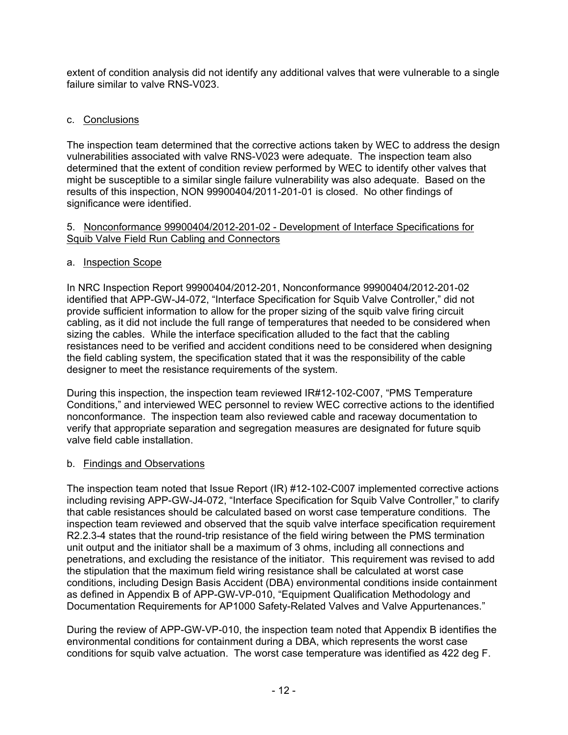extent of condition analysis did not identify any additional valves that were vulnerable to a single failure similar to valve RNS-V023.

# c. Conclusions

The inspection team determined that the corrective actions taken by WEC to address the design vulnerabilities associated with valve RNS-V023 were adequate. The inspection team also determined that the extent of condition review performed by WEC to identify other valves that might be susceptible to a similar single failure vulnerability was also adequate. Based on the results of this inspection, NON 99900404/2011-201-01 is closed. No other findings of significance were identified.

#### 5. Nonconformance 99900404/2012-201-02 - Development of Interface Specifications for Squib Valve Field Run Cabling and Connectors

### a. Inspection Scope

In NRC Inspection Report 99900404/2012-201, Nonconformance 99900404/2012-201-02 identified that APP-GW-J4-072, "Interface Specification for Squib Valve Controller," did not provide sufficient information to allow for the proper sizing of the squib valve firing circuit cabling, as it did not include the full range of temperatures that needed to be considered when sizing the cables. While the interface specification alluded to the fact that the cabling resistances need to be verified and accident conditions need to be considered when designing the field cabling system, the specification stated that it was the responsibility of the cable designer to meet the resistance requirements of the system.

During this inspection, the inspection team reviewed IR#12-102-C007, "PMS Temperature Conditions," and interviewed WEC personnel to review WEC corrective actions to the identified nonconformance. The inspection team also reviewed cable and raceway documentation to verify that appropriate separation and segregation measures are designated for future squib valve field cable installation.

# b. Findings and Observations

The inspection team noted that Issue Report (IR) #12-102-C007 implemented corrective actions including revising APP-GW-J4-072, "Interface Specification for Squib Valve Controller," to clarify that cable resistances should be calculated based on worst case temperature conditions. The inspection team reviewed and observed that the squib valve interface specification requirement R2.2.3-4 states that the round-trip resistance of the field wiring between the PMS termination unit output and the initiator shall be a maximum of 3 ohms, including all connections and penetrations, and excluding the resistance of the initiator. This requirement was revised to add the stipulation that the maximum field wiring resistance shall be calculated at worst case conditions, including Design Basis Accident (DBA) environmental conditions inside containment as defined in Appendix B of APP-GW-VP-010, "Equipment Qualification Methodology and Documentation Requirements for AP1000 Safety-Related Valves and Valve Appurtenances."

During the review of APP-GW-VP-010, the inspection team noted that Appendix B identifies the environmental conditions for containment during a DBA, which represents the worst case conditions for squib valve actuation. The worst case temperature was identified as 422 deg F.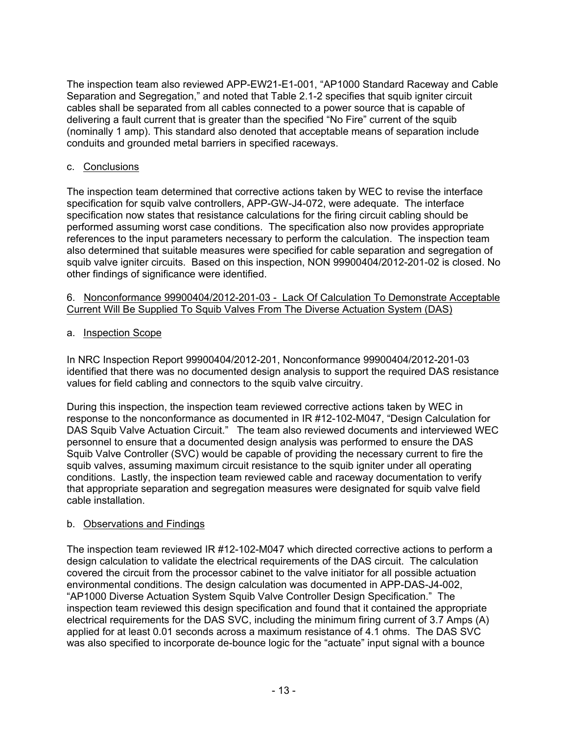The inspection team also reviewed APP-EW21-E1-001, "AP1000 Standard Raceway and Cable Separation and Segregation," and noted that Table 2.1-2 specifies that squib igniter circuit cables shall be separated from all cables connected to a power source that is capable of delivering a fault current that is greater than the specified "No Fire" current of the squib (nominally 1 amp). This standard also denoted that acceptable means of separation include conduits and grounded metal barriers in specified raceways.

### c. Conclusions

The inspection team determined that corrective actions taken by WEC to revise the interface specification for squib valve controllers, APP-GW-J4-072, were adequate. The interface specification now states that resistance calculations for the firing circuit cabling should be performed assuming worst case conditions. The specification also now provides appropriate references to the input parameters necessary to perform the calculation. The inspection team also determined that suitable measures were specified for cable separation and segregation of squib valve igniter circuits. Based on this inspection, NON 99900404/2012-201-02 is closed. No other findings of significance were identified.

#### 6. Nonconformance 99900404/2012-201-03 - Lack Of Calculation To Demonstrate Acceptable Current Will Be Supplied To Squib Valves From The Diverse Actuation System (DAS)

# a. Inspection Scope

In NRC Inspection Report 99900404/2012-201, Nonconformance 99900404/2012-201-03 identified that there was no documented design analysis to support the required DAS resistance values for field cabling and connectors to the squib valve circuitry.

During this inspection, the inspection team reviewed corrective actions taken by WEC in response to the nonconformance as documented in IR #12-102-M047, "Design Calculation for DAS Squib Valve Actuation Circuit." The team also reviewed documents and interviewed WEC personnel to ensure that a documented design analysis was performed to ensure the DAS Squib Valve Controller (SVC) would be capable of providing the necessary current to fire the squib valves, assuming maximum circuit resistance to the squib igniter under all operating conditions. Lastly, the inspection team reviewed cable and raceway documentation to verify that appropriate separation and segregation measures were designated for squib valve field cable installation.

# b. Observations and Findings

The inspection team reviewed IR #12-102-M047 which directed corrective actions to perform a design calculation to validate the electrical requirements of the DAS circuit. The calculation covered the circuit from the processor cabinet to the valve initiator for all possible actuation environmental conditions. The design calculation was documented in APP-DAS-J4-002, "AP1000 Diverse Actuation System Squib Valve Controller Design Specification." The inspection team reviewed this design specification and found that it contained the appropriate electrical requirements for the DAS SVC, including the minimum firing current of 3.7 Amps (A) applied for at least 0.01 seconds across a maximum resistance of 4.1 ohms. The DAS SVC was also specified to incorporate de-bounce logic for the "actuate" input signal with a bounce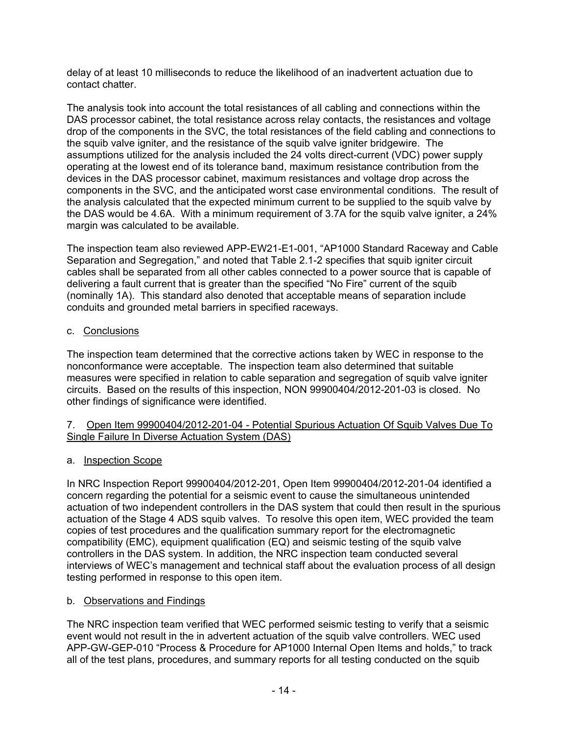delay of at least 10 milliseconds to reduce the likelihood of an inadvertent actuation due to contact chatter.

The analysis took into account the total resistances of all cabling and connections within the DAS processor cabinet, the total resistance across relay contacts, the resistances and voltage drop of the components in the SVC, the total resistances of the field cabling and connections to the squib valve igniter, and the resistance of the squib valve igniter bridgewire. The assumptions utilized for the analysis included the 24 volts direct-current (VDC) power supply operating at the lowest end of its tolerance band, maximum resistance contribution from the devices in the DAS processor cabinet, maximum resistances and voltage drop across the components in the SVC, and the anticipated worst case environmental conditions. The result of the analysis calculated that the expected minimum current to be supplied to the squib valve by the DAS would be 4.6A. With a minimum requirement of 3.7A for the squib valve igniter, a 24% margin was calculated to be available.

The inspection team also reviewed APP-EW21-E1-001, "AP1000 Standard Raceway and Cable Separation and Segregation," and noted that Table 2.1-2 specifies that squib igniter circuit cables shall be separated from all other cables connected to a power source that is capable of delivering a fault current that is greater than the specified "No Fire" current of the squib (nominally 1A). This standard also denoted that acceptable means of separation include conduits and grounded metal barriers in specified raceways.

### c. Conclusions

The inspection team determined that the corrective actions taken by WEC in response to the nonconformance were acceptable. The inspection team also determined that suitable measures were specified in relation to cable separation and segregation of squib valve igniter circuits. Based on the results of this inspection, NON 99900404/2012-201-03 is closed. No other findings of significance were identified.

#### 7. Open Item 99900404/2012-201-04 - Potential Spurious Actuation Of Squib Valves Due To Single Failure In Diverse Actuation System (DAS)

# a. Inspection Scope

In NRC Inspection Report 99900404/2012-201, Open Item 99900404/2012-201-04 identified a concern regarding the potential for a seismic event to cause the simultaneous unintended actuation of two independent controllers in the DAS system that could then result in the spurious actuation of the Stage 4 ADS squib valves. To resolve this open item, WEC provided the team copies of test procedures and the qualification summary report for the electromagnetic compatibility (EMC), equipment qualification (EQ) and seismic testing of the squib valve controllers in the DAS system. In addition, the NRC inspection team conducted several interviews of WEC's management and technical staff about the evaluation process of all design testing performed in response to this open item.

#### b. Observations and Findings

The NRC inspection team verified that WEC performed seismic testing to verify that a seismic event would not result in the in advertent actuation of the squib valve controllers. WEC used APP-GW-GEP-010 "Process & Procedure for AP1000 Internal Open Items and holds," to track all of the test plans, procedures, and summary reports for all testing conducted on the squib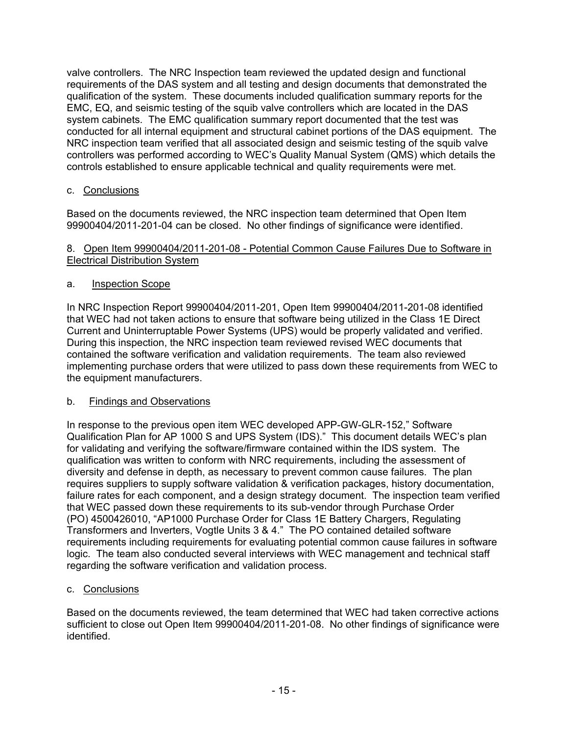valve controllers. The NRC Inspection team reviewed the updated design and functional requirements of the DAS system and all testing and design documents that demonstrated the qualification of the system. These documents included qualification summary reports for the EMC, EQ, and seismic testing of the squib valve controllers which are located in the DAS system cabinets. The EMC qualification summary report documented that the test was conducted for all internal equipment and structural cabinet portions of the DAS equipment. The NRC inspection team verified that all associated design and seismic testing of the squib valve controllers was performed according to WEC's Quality Manual System (QMS) which details the controls established to ensure applicable technical and quality requirements were met.

# c. Conclusions

Based on the documents reviewed, the NRC inspection team determined that Open Item 99900404/2011-201-04 can be closed. No other findings of significance were identified.

#### 8. Open Item 99900404/2011-201-08 - Potential Common Cause Failures Due to Software in Electrical Distribution System

# a. Inspection Scope

In NRC Inspection Report 99900404/2011-201, Open Item 99900404/2011-201-08 identified that WEC had not taken actions to ensure that software being utilized in the Class 1E Direct Current and Uninterruptable Power Systems (UPS) would be properly validated and verified. During this inspection, the NRC inspection team reviewed revised WEC documents that contained the software verification and validation requirements. The team also reviewed implementing purchase orders that were utilized to pass down these requirements from WEC to the equipment manufacturers.

# b. Findings and Observations

In response to the previous open item WEC developed APP-GW-GLR-152," Software Qualification Plan for AP 1000 S and UPS System (IDS)." This document details WEC's plan for validating and verifying the software/firmware contained within the IDS system. The qualification was written to conform with NRC requirements, including the assessment of diversity and defense in depth, as necessary to prevent common cause failures. The plan requires suppliers to supply software validation & verification packages, history documentation, failure rates for each component, and a design strategy document. The inspection team verified that WEC passed down these requirements to its sub-vendor through Purchase Order (PO) 4500426010, "AP1000 Purchase Order for Class 1E Battery Chargers, Regulating Transformers and Inverters, Vogtle Units 3 & 4." The PO contained detailed software requirements including requirements for evaluating potential common cause failures in software logic. The team also conducted several interviews with WEC management and technical staff regarding the software verification and validation process.

# c. Conclusions

Based on the documents reviewed, the team determined that WEC had taken corrective actions sufficient to close out Open Item 99900404/2011-201-08. No other findings of significance were identified.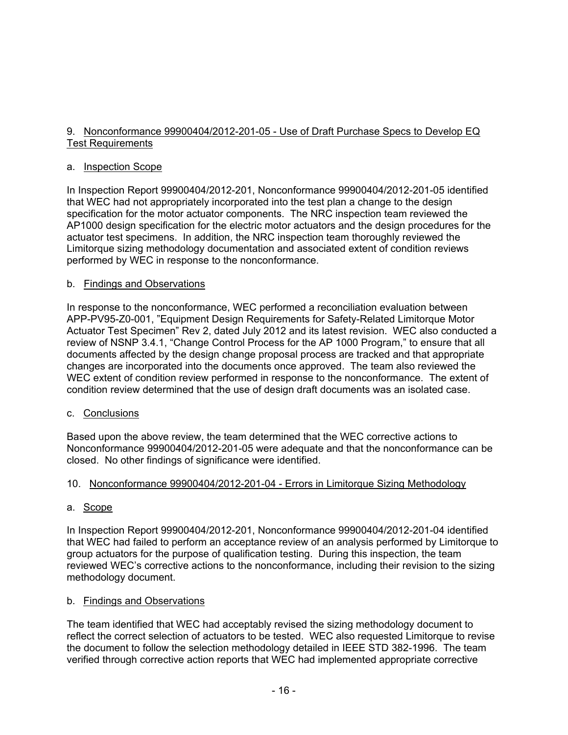### 9. Nonconformance 99900404/2012-201-05 - Use of Draft Purchase Specs to Develop EQ Test Requirements

#### a. Inspection Scope

In Inspection Report 99900404/2012-201, Nonconformance 99900404/2012-201-05 identified that WEC had not appropriately incorporated into the test plan a change to the design specification for the motor actuator components. The NRC inspection team reviewed the AP1000 design specification for the electric motor actuators and the design procedures for the actuator test specimens. In addition, the NRC inspection team thoroughly reviewed the Limitorque sizing methodology documentation and associated extent of condition reviews performed by WEC in response to the nonconformance.

### b. Findings and Observations

In response to the nonconformance, WEC performed a reconciliation evaluation between APP-PV95-Z0-001, "Equipment Design Requirements for Safety-Related Limitorque Motor Actuator Test Specimen" Rev 2, dated July 2012 and its latest revision. WEC also conducted a review of NSNP 3.4.1, "Change Control Process for the AP 1000 Program," to ensure that all documents affected by the design change proposal process are tracked and that appropriate changes are incorporated into the documents once approved. The team also reviewed the WEC extent of condition review performed in response to the nonconformance. The extent of condition review determined that the use of design draft documents was an isolated case.

# c. Conclusions

Based upon the above review, the team determined that the WEC corrective actions to Nonconformance 99900404/2012-201-05 were adequate and that the nonconformance can be closed. No other findings of significance were identified.

# 10. Nonconformance 99900404/2012-201-04 - Errors in Limitorque Sizing Methodology

# a. Scope

In Inspection Report 99900404/2012-201, Nonconformance 99900404/2012-201-04 identified that WEC had failed to perform an acceptance review of an analysis performed by Limitorque to group actuators for the purpose of qualification testing. During this inspection, the team reviewed WEC's corrective actions to the nonconformance, including their revision to the sizing methodology document.

#### b. Findings and Observations

The team identified that WEC had acceptably revised the sizing methodology document to reflect the correct selection of actuators to be tested. WEC also requested Limitorque to revise the document to follow the selection methodology detailed in IEEE STD 382-1996. The team verified through corrective action reports that WEC had implemented appropriate corrective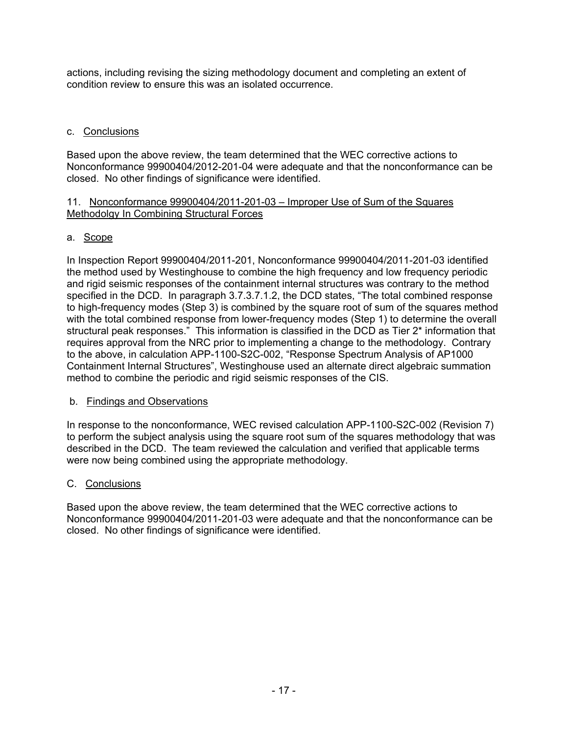actions, including revising the sizing methodology document and completing an extent of condition review to ensure this was an isolated occurrence.

### c. Conclusions

Based upon the above review, the team determined that the WEC corrective actions to Nonconformance 99900404/2012-201-04 were adequate and that the nonconformance can be closed. No other findings of significance were identified.

#### 11. Nonconformance 99900404/2011-201-03 – Improper Use of Sum of the Squares Methodolgy In Combining Structural Forces

### a. Scope

In Inspection Report 99900404/2011-201, Nonconformance 99900404/2011-201-03 identified the method used by Westinghouse to combine the high frequency and low frequency periodic and rigid seismic responses of the containment internal structures was contrary to the method specified in the DCD. In paragraph 3.7.3.7.1.2, the DCD states, "The total combined response to high-frequency modes (Step 3) is combined by the square root of sum of the squares method with the total combined response from lower-frequency modes (Step 1) to determine the overall structural peak responses." This information is classified in the DCD as Tier 2\* information that requires approval from the NRC prior to implementing a change to the methodology. Contrary to the above, in calculation APP-1100-S2C-002, "Response Spectrum Analysis of AP1000 Containment Internal Structures", Westinghouse used an alternate direct algebraic summation method to combine the periodic and rigid seismic responses of the CIS.

#### b. Findings and Observations

In response to the nonconformance, WEC revised calculation APP-1100-S2C-002 (Revision 7) to perform the subject analysis using the square root sum of the squares methodology that was described in the DCD. The team reviewed the calculation and verified that applicable terms were now being combined using the appropriate methodology.

#### C. Conclusions

Based upon the above review, the team determined that the WEC corrective actions to Nonconformance 99900404/2011-201-03 were adequate and that the nonconformance can be closed. No other findings of significance were identified.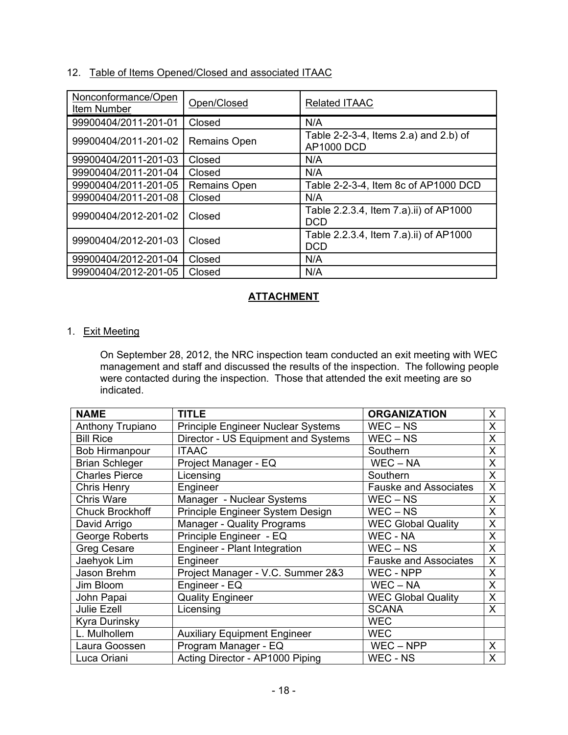# 12. Table of Items Opened/Closed and associated ITAAC

| Nonconformance/Open<br>Item Number | Open/Closed         | <b>Related ITAAC</b>                                       |
|------------------------------------|---------------------|------------------------------------------------------------|
| 99900404/2011-201-01               | Closed              | N/A                                                        |
| 99900404/2011-201-02               | <b>Remains Open</b> | Table 2-2-3-4, Items 2.a) and 2.b) of<br><b>AP1000 DCD</b> |
| 99900404/2011-201-03               | Closed              | N/A                                                        |
| 99900404/2011-201-04               | Closed              | N/A                                                        |
| 99900404/2011-201-05               | Remains Open        | Table 2-2-3-4, Item 8c of AP1000 DCD                       |
| 99900404/2011-201-08               | Closed              | N/A                                                        |
| 99900404/2012-201-02               | Closed              | Table 2.2.3.4, Item 7.a).ii) of AP1000<br><b>DCD</b>       |
| 99900404/2012-201-03               | Closed              | Table 2.2.3.4, Item 7.a).ii) of AP1000<br><b>DCD</b>       |
| 99900404/2012-201-04               | Closed              | N/A                                                        |
| 99900404/2012-201-05               | Closed              | N/A                                                        |

# **ATTACHMENT**

### 1. Exit Meeting

On September 28, 2012, the NRC inspection team conducted an exit meeting with WEC management and staff and discussed the results of the inspection. The following people were contacted during the inspection. Those that attended the exit meeting are so indicated.

| <b>NAME</b>            | <b>TITLE</b>                              | <b>ORGANIZATION</b>          | X |
|------------------------|-------------------------------------------|------------------------------|---|
| Anthony Trupiano       | <b>Principle Engineer Nuclear Systems</b> | $WEC - NS$                   | X |
| <b>Bill Rice</b>       | Director - US Equipment and Systems       | $WEC - NS$                   | X |
| <b>Bob Hirmanpour</b>  | <b>ITAAC</b>                              | Southern                     | X |
| <b>Brian Schleger</b>  | Project Manager - EQ                      | $WEC - NA$                   | X |
| <b>Charles Pierce</b>  | Licensing                                 | Southern                     | X |
| <b>Chris Henry</b>     | Engineer                                  | <b>Fauske and Associates</b> | X |
| <b>Chris Ware</b>      | Manager - Nuclear Systems                 | $WEC - NS$                   | X |
| <b>Chuck Brockhoff</b> | Principle Engineer System Design          | $WEC - NS$                   | X |
| David Arrigo           | <b>Manager - Quality Programs</b>         | <b>WEC Global Quality</b>    | X |
| <b>George Roberts</b>  | Principle Engineer - EQ                   | <b>WEC - NA</b>              | X |
| <b>Greg Cesare</b>     | Engineer - Plant Integration              | $WEC - NS$                   | X |
| Jaehyok Lim            | Engineer                                  | <b>Fauske and Associates</b> | X |
| Jason Brehm            | Project Manager - V.C. Summer 2&3         | WEC - NPP                    | X |
| Jim Bloom              | Engineer - EQ                             | $WEC - NA$                   | X |
| John Papai             | <b>Quality Engineer</b>                   | <b>WEC Global Quality</b>    | X |
| Julie Ezell            | Licensing                                 | <b>SCANA</b>                 | X |
| Kyra Durinsky          |                                           | <b>WEC</b>                   |   |
| L. Mulhollem           | <b>Auxiliary Equipment Engineer</b>       | <b>WEC</b>                   |   |
| Laura Goossen          | Program Manager - EQ                      | $WEC - NPP$                  | X |
| Luca Oriani            | Acting Director - AP1000 Piping           | WEC - NS                     | X |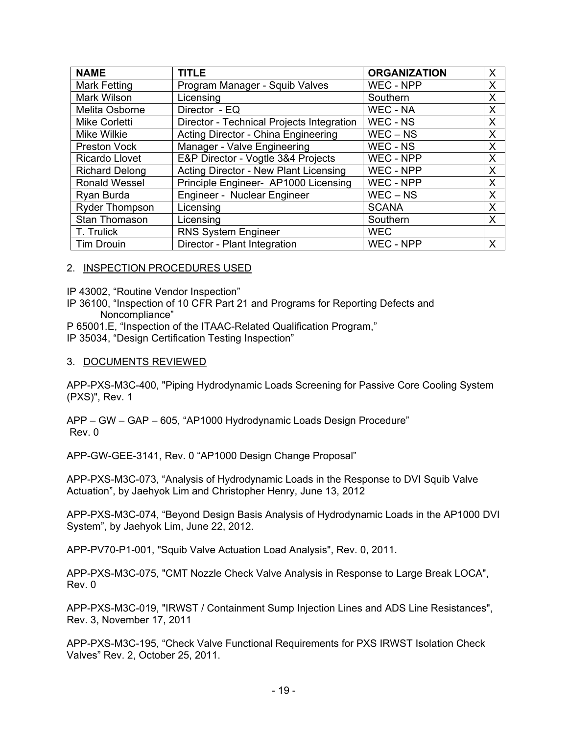| <b>NAME</b>           | <b>TITLE</b>                              | <b>ORGANIZATION</b> | X |
|-----------------------|-------------------------------------------|---------------------|---|
| <b>Mark Fetting</b>   | Program Manager - Squib Valves            | WEC - NPP           | X |
| Mark Wilson           | Licensing                                 | Southern            | X |
| Melita Osborne        | Director - EQ                             | WEC - NA            | X |
| <b>Mike Corletti</b>  | Director - Technical Projects Integration | WEC - NS            | X |
| <b>Mike Wilkie</b>    | Acting Director - China Engineering       | $WEC - NS$          | X |
| <b>Preston Vock</b>   | Manager - Valve Engineering               | WEC - NS            | X |
| <b>Ricardo Llovet</b> | E&P Director - Vogtle 3&4 Projects        | WEC - NPP           | X |
| <b>Richard Delong</b> | Acting Director - New Plant Licensing     | WEC - NPP           | X |
| <b>Ronald Wessel</b>  | Principle Engineer- AP1000 Licensing      | WEC - NPP           | X |
| Ryan Burda            | Engineer - Nuclear Engineer               | $WEC - NS$          | X |
| <b>Ryder Thompson</b> | Licensing                                 | <b>SCANA</b>        | X |
| Stan Thomason         | Licensing                                 | Southern            | X |
| T. Trulick            | <b>RNS System Engineer</b>                | <b>WEC</b>          |   |
| <b>Tim Drouin</b>     | Director - Plant Integration              | WEC - NPP           | X |

#### 2. INSPECTION PROCEDURES USED

IP 43002, "Routine Vendor Inspection"

- IP 36100, "Inspection of 10 CFR Part 21 and Programs for Reporting Defects and Noncompliance"
- P 65001.E, "Inspection of the ITAAC-Related Qualification Program,"
- IP 35034, "Design Certification Testing Inspection"

#### 3. DOCUMENTS REVIEWED

APP-PXS-M3C-400, "Piping Hydrodynamic Loads Screening for Passive Core Cooling System (PXS)", Rev. 1

APP – GW – GAP – 605, "AP1000 Hydrodynamic Loads Design Procedure" Rev. 0

APP-GW-GEE-3141, Rev. 0 "AP1000 Design Change Proposal"

APP-PXS-M3C-073, "Analysis of Hydrodynamic Loads in the Response to DVI Squib Valve Actuation", by Jaehyok Lim and Christopher Henry, June 13, 2012

APP-PXS-M3C-074, "Beyond Design Basis Analysis of Hydrodynamic Loads in the AP1000 DVI System", by Jaehyok Lim, June 22, 2012.

APP-PV70-P1-001, "Squib Valve Actuation Load Analysis", Rev. 0, 2011.

APP-PXS-M3C-075, "CMT Nozzle Check Valve Analysis in Response to Large Break LOCA", Rev. 0

APP-PXS-M3C-019, "IRWST / Containment Sump Injection Lines and ADS Line Resistances", Rev. 3, November 17, 2011

APP-PXS-M3C-195, "Check Valve Functional Requirements for PXS IRWST Isolation Check Valves" Rev. 2, October 25, 2011.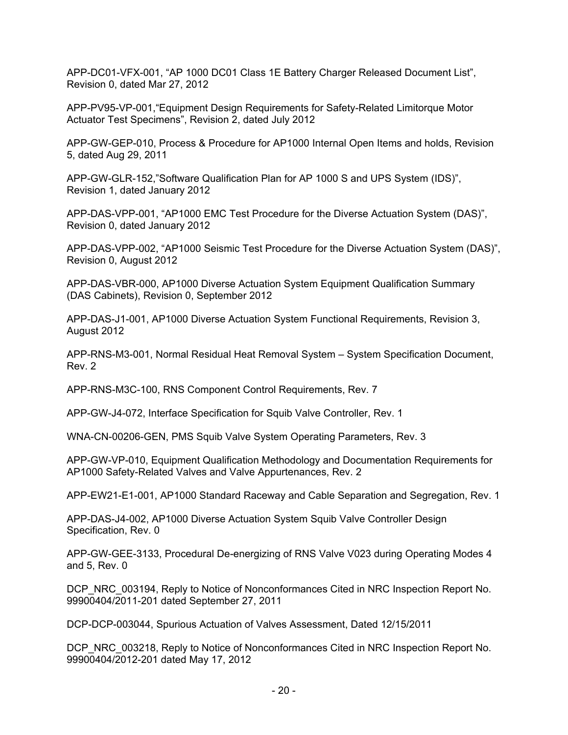APP-DC01-VFX-001, "AP 1000 DC01 Class 1E Battery Charger Released Document List", Revision 0, dated Mar 27, 2012

APP-PV95-VP-001,"Equipment Design Requirements for Safety-Related Limitorque Motor Actuator Test Specimens", Revision 2, dated July 2012

APP-GW-GEP-010, Process & Procedure for AP1000 Internal Open Items and holds, Revision 5, dated Aug 29, 2011

APP-GW-GLR-152,"Software Qualification Plan for AP 1000 S and UPS System (IDS)", Revision 1, dated January 2012

APP-DAS-VPP-001, "AP1000 EMC Test Procedure for the Diverse Actuation System (DAS)", Revision 0, dated January 2012

APP-DAS-VPP-002, "AP1000 Seismic Test Procedure for the Diverse Actuation System (DAS)", Revision 0, August 2012

APP-DAS-VBR-000, AP1000 Diverse Actuation System Equipment Qualification Summary (DAS Cabinets), Revision 0, September 2012

APP-DAS-J1-001, AP1000 Diverse Actuation System Functional Requirements, Revision 3, August 2012

APP-RNS-M3-001, Normal Residual Heat Removal System – System Specification Document, Rev. 2

APP-RNS-M3C-100, RNS Component Control Requirements, Rev. 7

APP-GW-J4-072, Interface Specification for Squib Valve Controller, Rev. 1

WNA-CN-00206-GEN, PMS Squib Valve System Operating Parameters, Rev. 3

APP-GW-VP-010, Equipment Qualification Methodology and Documentation Requirements for AP1000 Safety-Related Valves and Valve Appurtenances, Rev. 2

APP-EW21-E1-001, AP1000 Standard Raceway and Cable Separation and Segregation, Rev. 1

APP-DAS-J4-002, AP1000 Diverse Actuation System Squib Valve Controller Design Specification, Rev. 0

APP-GW-GEE-3133, Procedural De-energizing of RNS Valve V023 during Operating Modes 4 and 5, Rev. 0

DCP\_NRC\_003194, Reply to Notice of Nonconformances Cited in NRC Inspection Report No. 99900404/2011-201 dated September 27, 2011

DCP-DCP-003044, Spurious Actuation of Valves Assessment, Dated 12/15/2011

DCP\_NRC\_003218, Reply to Notice of Nonconformances Cited in NRC Inspection Report No. 99900404/2012-201 dated May 17, 2012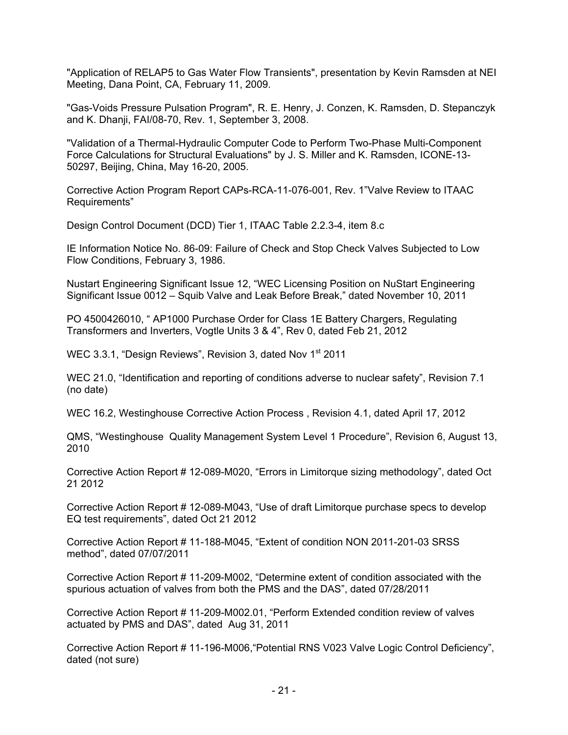"Application of RELAP5 to Gas Water Flow Transients", presentation by Kevin Ramsden at NEI Meeting, Dana Point, CA, February 11, 2009.

"Gas-Voids Pressure Pulsation Program", R. E. Henry, J. Conzen, K. Ramsden, D. Stepanczyk and K. Dhanji, FAI/08-70, Rev. 1, September 3, 2008.

"Validation of a Thermal-Hydraulic Computer Code to Perform Two-Phase Multi-Component Force Calculations for Structural Evaluations" by J. S. Miller and K. Ramsden, ICONE-13- 50297, Beijing, China, May 16-20, 2005.

Corrective Action Program Report CAPs-RCA-11-076-001, Rev. 1"Valve Review to ITAAC Requirements"

Design Control Document (DCD) Tier 1, ITAAC Table 2.2.3-4, item 8.c

IE Information Notice No. 86-09: Failure of Check and Stop Check Valves Subjected to Low Flow Conditions, February 3, 1986.

Nustart Engineering Significant Issue 12, "WEC Licensing Position on NuStart Engineering Significant Issue 0012 – Squib Valve and Leak Before Break," dated November 10, 2011

PO 4500426010, " AP1000 Purchase Order for Class 1E Battery Chargers, Regulating Transformers and Inverters, Vogtle Units 3 & 4", Rev 0, dated Feb 21, 2012

WEC 3.3.1, "Design Reviews", Revision 3, dated Nov 1<sup>st</sup> 2011

WEC 21.0, "Identification and reporting of conditions adverse to nuclear safety", Revision 7.1 (no date)

WEC 16.2, Westinghouse Corrective Action Process , Revision 4.1, dated April 17, 2012

QMS, "Westinghouse Quality Management System Level 1 Procedure", Revision 6, August 13, 2010

Corrective Action Report # 12-089-M020, "Errors in Limitorque sizing methodology", dated Oct 21 2012

Corrective Action Report # 12-089-M043, "Use of draft Limitorque purchase specs to develop EQ test requirements", dated Oct 21 2012

Corrective Action Report # 11-188-M045, "Extent of condition NON 2011-201-03 SRSS method", dated 07/07/2011

Corrective Action Report # 11-209-M002, "Determine extent of condition associated with the spurious actuation of valves from both the PMS and the DAS", dated 07/28/2011

Corrective Action Report # 11-209-M002.01, "Perform Extended condition review of valves actuated by PMS and DAS", dated Aug 31, 2011

Corrective Action Report # 11-196-M006,"Potential RNS V023 Valve Logic Control Deficiency", dated (not sure)